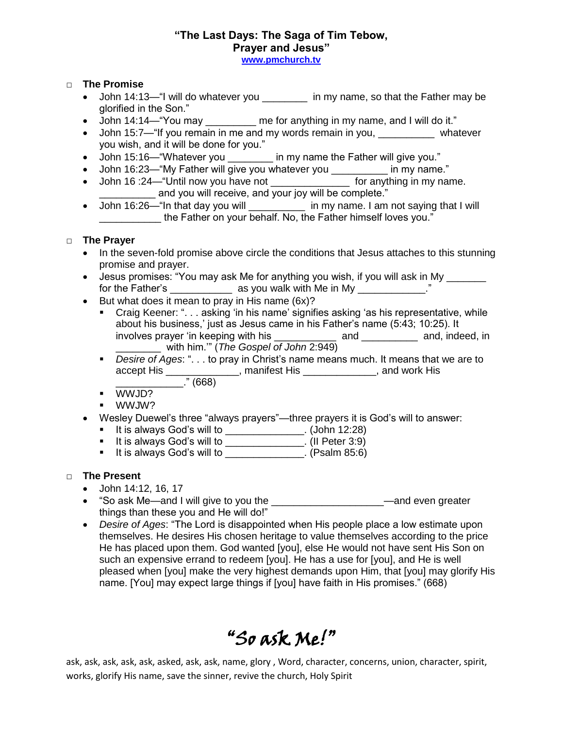### **"The Last Days: The Saga of Tim Tebow, Prayer and Jesus" [www.pmchurch.tv](http://www.pmchurch.tv/)**

#### □ **The Promise**

- John 14:13—"I will do whatever you \_\_\_\_\_\_\_\_ in my name, so that the Father may be glorified in the Son."
- John 14:14—"You may \_\_\_\_\_\_\_\_\_ me for anything in my name, and I will do it."
- John 15:7—"If you remain in me and my words remain in you, whatever you wish, and it will be done for you."
- John 15:16— "Whatever you \_\_\_\_\_\_\_ in my name the Father will give you."
- John 16:23—"My Father will give you whatever you \_\_\_\_\_\_\_\_\_\_ in my name."
- John 16 :24—"Until now you have not \_\_\_\_\_\_\_\_\_\_\_\_\_\_\_\_\_ for anything in my name. **EXECUTE:** and you will receive, and your joy will be complete."
- John 16:26—"In that day you will \_\_\_\_\_\_\_\_\_\_ in my name. I am not saying that I will \_\_\_\_\_\_\_\_\_\_\_ the Father on your behalf. No, the Father himself loves you."

### □ **The Prayer**

- In the seven-fold promise above circle the conditions that Jesus attaches to this stunning promise and prayer.
- Jesus promises: "You may ask Me for anything you wish, if you will ask in My \_\_\_\_\_\_ for the Father's \_\_\_\_\_\_\_\_\_\_\_\_\_ as you walk with Me in My \_\_\_\_\_\_\_\_\_\_\_\_."
- But what does it mean to pray in His name  $(6x)$ ?
	- Craig Keener: ". . . asking 'in his name' signifies asking 'as his representative, while about his business,' just as Jesus came in his Father's name (5:43; 10:25). It involves prayer 'in keeping with his \_\_\_\_\_\_\_\_\_\_\_\_\_ and \_\_\_\_\_\_\_\_\_\_\_ and, indeed, in \_\_\_\_\_\_\_\_ with him.'" (*The Gospel of John* 2:949)
	- *Desire of Ages*: ". . . to pray in Christ's name means much. It means that we are to accept His \_\_\_\_\_\_\_\_\_\_\_\_\_, manifest His \_\_\_\_\_\_\_\_\_\_\_\_\_, and work His
		- \_\_\_\_\_\_\_\_\_\_\_\_." (668)
	- WWJD?
	- WWJW?
- Wesley Duewel's three "always prayers"—three prayers it is God's will to answer:
	- It is always God's will to  $\qquad \qquad$  (John 12:28)
	- It is always God's will to <u>Incoland Communication</u>. (II Peter 3:9)
	- It is always God's will to  $\frac{1}{2}$  (Psalm 85:6)

## □ **The Present**

- John 14:12, 16, 17
- "So ask Me—and I will give to you the \_\_\_\_\_\_\_\_\_\_\_\_\_\_\_\_\_\_\_\_—and even greater things than these you and He will do!"
- *Desire of Ages*: "The Lord is disappointed when His people place a low estimate upon themselves. He desires His chosen heritage to value themselves according to the price He has placed upon them. God wanted [you], else He would not have sent His Son on such an expensive errand to redeem [you]. He has a use for [you], and He is well pleased when [you] make the very highest demands upon Him, that [you] may glorify His name. [You] may expect large things if [you] have faith in His promises." (668)

# "So ask Me!"

ask, ask, ask, ask, ask, asked, ask, ask, name, glory , Word, character, concerns, union, character, spirit, works, glorify His name, save the sinner, revive the church, Holy Spirit